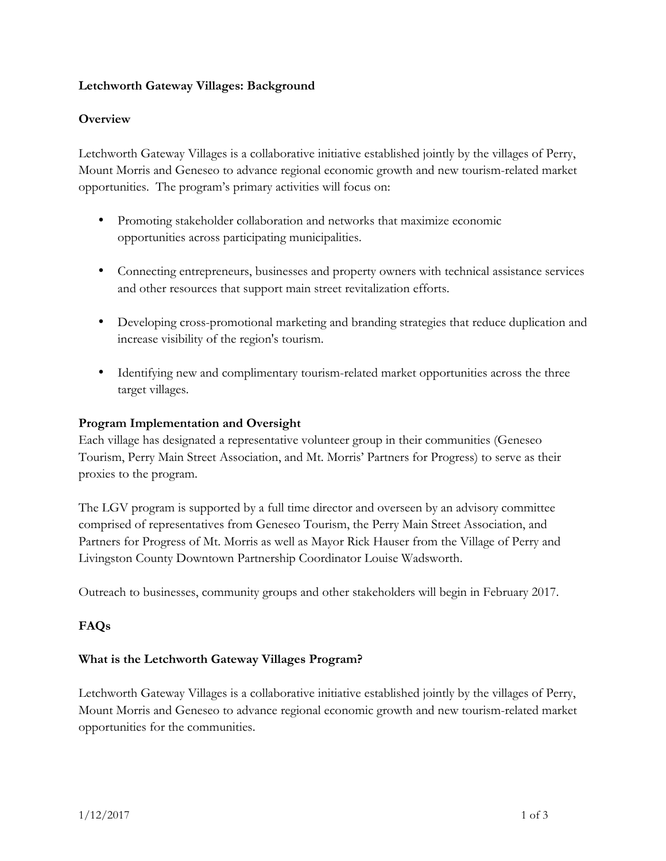### **Letchworth Gateway Villages: Background**

# **Overview**

Letchworth Gateway Villages is a collaborative initiative established jointly by the villages of Perry, Mount Morris and Geneseo to advance regional economic growth and new tourism-related market opportunities. The program's primary activities will focus on:

- Promoting stakeholder collaboration and networks that maximize economic opportunities across participating municipalities.
- Connecting entrepreneurs, businesses and property owners with technical assistance services and other resources that support main street revitalization efforts.
- Developing cross-promotional marketing and branding strategies that reduce duplication and increase visibility of the region's tourism.
- Identifying new and complimentary tourism-related market opportunities across the three target villages.

#### **Program Implementation and Oversight**

Each village has designated a representative volunteer group in their communities (Geneseo Tourism, Perry Main Street Association, and Mt. Morris' Partners for Progress) to serve as their proxies to the program.

The LGV program is supported by a full time director and overseen by an advisory committee comprised of representatives from Geneseo Tourism, the Perry Main Street Association, and Partners for Progress of Mt. Morris as well as Mayor Rick Hauser from the Village of Perry and Livingston County Downtown Partnership Coordinator Louise Wadsworth.

Outreach to businesses, community groups and other stakeholders will begin in February 2017.

# **FAQs**

#### **What is the Letchworth Gateway Villages Program?**

Letchworth Gateway Villages is a collaborative initiative established jointly by the villages of Perry, Mount Morris and Geneseo to advance regional economic growth and new tourism-related market opportunities for the communities.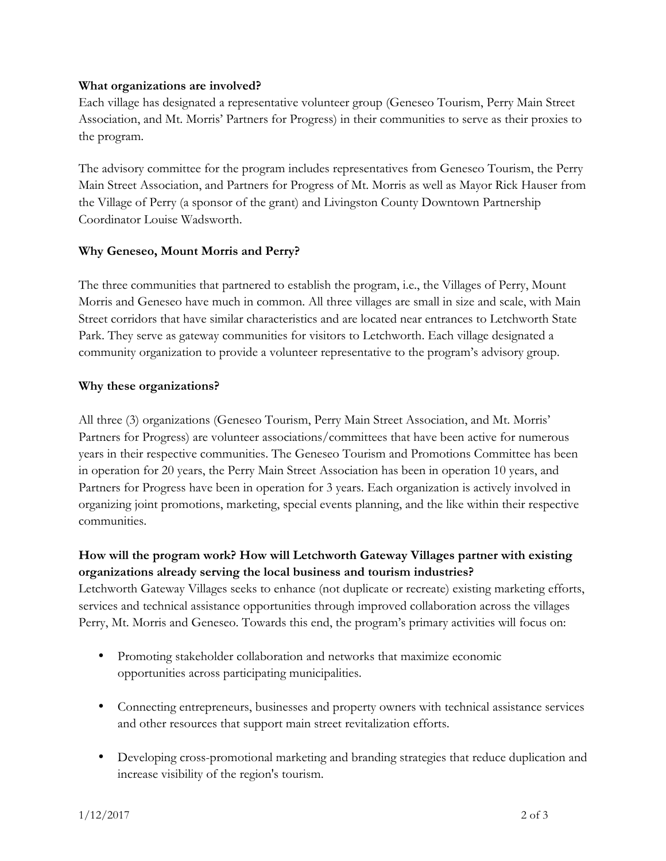#### **What organizations are involved?**

Each village has designated a representative volunteer group (Geneseo Tourism, Perry Main Street Association, and Mt. Morris' Partners for Progress) in their communities to serve as their proxies to the program.

The advisory committee for the program includes representatives from Geneseo Tourism, the Perry Main Street Association, and Partners for Progress of Mt. Morris as well as Mayor Rick Hauser from the Village of Perry (a sponsor of the grant) and Livingston County Downtown Partnership Coordinator Louise Wadsworth.

#### **Why Geneseo, Mount Morris and Perry?**

The three communities that partnered to establish the program, i.e., the Villages of Perry, Mount Morris and Geneseo have much in common. All three villages are small in size and scale, with Main Street corridors that have similar characteristics and are located near entrances to Letchworth State Park. They serve as gateway communities for visitors to Letchworth. Each village designated a community organization to provide a volunteer representative to the program's advisory group.

#### **Why these organizations?**

All three (3) organizations (Geneseo Tourism, Perry Main Street Association, and Mt. Morris' Partners for Progress) are volunteer associations/committees that have been active for numerous years in their respective communities. The Geneseo Tourism and Promotions Committee has been in operation for 20 years, the Perry Main Street Association has been in operation 10 years, and Partners for Progress have been in operation for 3 years. Each organization is actively involved in organizing joint promotions, marketing, special events planning, and the like within their respective communities.

# **How will the program work? How will Letchworth Gateway Villages partner with existing organizations already serving the local business and tourism industries?**

Letchworth Gateway Villages seeks to enhance (not duplicate or recreate) existing marketing efforts, services and technical assistance opportunities through improved collaboration across the villages Perry, Mt. Morris and Geneseo. Towards this end, the program's primary activities will focus on:

- Promoting stakeholder collaboration and networks that maximize economic opportunities across participating municipalities.
- Connecting entrepreneurs, businesses and property owners with technical assistance services and other resources that support main street revitalization efforts.
- Developing cross-promotional marketing and branding strategies that reduce duplication and increase visibility of the region's tourism.